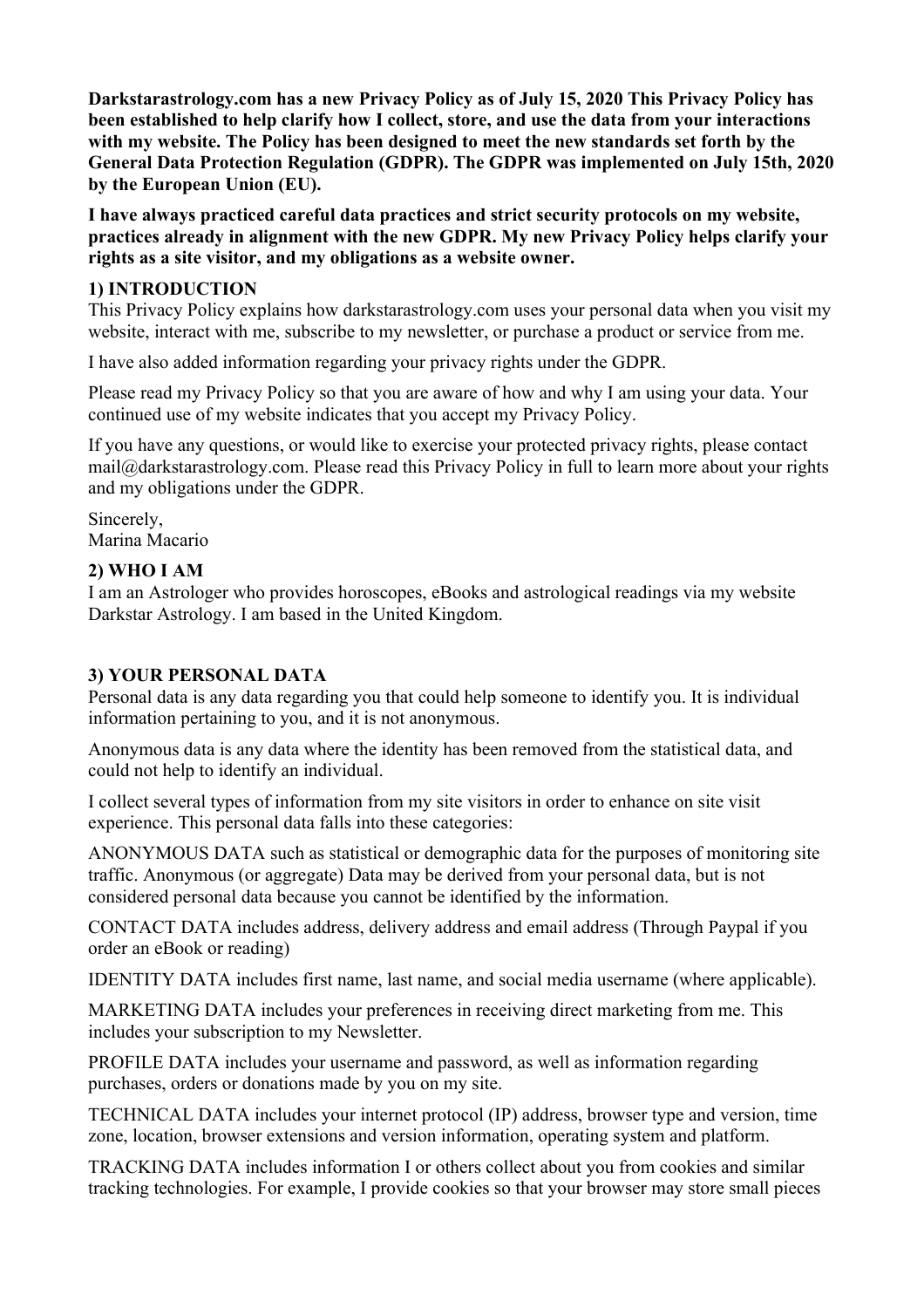**Darkstarastrology.com has a new Privacy Policy as of July 15, 2020 This Privacy Policy has been established to help clarify how I collect, store, and use the data from your interactions with my website. The Policy has been designed to meet the new standards set forth by the General Data Protection Regulation (GDPR). The GDPR was implemented on July 15th, 2020 by the European Union (EU).** 

**I have always practiced careful data practices and strict security protocols on my website, practices already in alignment with the new GDPR. My new Privacy Policy helps clarify your rights as a site visitor, and my obligations as a website owner.**

#### **1) INTRODUCTION**

This Privacy Policy explains how darkstarastrology.com uses your personal data when you visit my website, interact with me, subscribe to my newsletter, or purchase a product or service from me.

I have also added information regarding your privacy rights under the GDPR.

Please read my Privacy Policy so that you are aware of how and why I am using your data. Your continued use of my website indicates that you accept my Privacy Policy.

If you have any questions, or would like to exercise your protected privacy rights, please contact mail@darkstarastrology.com. Please read this Privacy Policy in full to learn more about your rights and my obligations under the GDPR.

Sincerely, Marina Macario

#### **2) WHO I AM**

I am an Astrologer who provides horoscopes, eBooks and astrological readings via my website Darkstar Astrology. I am based in the United Kingdom.

#### **3) YOUR PERSONAL DATA**

Personal data is any data regarding you that could help someone to identify you. It is individual information pertaining to you, and it is not anonymous.

Anonymous data is any data where the identity has been removed from the statistical data, and could not help to identify an individual.

I collect several types of information from my site visitors in order to enhance on site visit experience. This personal data falls into these categories:

ANONYMOUS DATA such as statistical or demographic data for the purposes of monitoring site traffic. Anonymous (or aggregate) Data may be derived from your personal data, but is not considered personal data because you cannot be identified by the information.

CONTACT DATA includes address, delivery address and email address (Through Paypal if you order an eBook or reading)

IDENTITY DATA includes first name, last name, and social media username (where applicable).

MARKETING DATA includes your preferences in receiving direct marketing from me. This includes your subscription to my Newsletter.

PROFILE DATA includes your username and password, as well as information regarding purchases, orders or donations made by you on my site.

TECHNICAL DATA includes your internet protocol (IP) address, browser type and version, time zone, location, browser extensions and version information, operating system and platform.

TRACKING DATA includes information I or others collect about you from cookies and similar tracking technologies. For example, I provide cookies so that your browser may store small pieces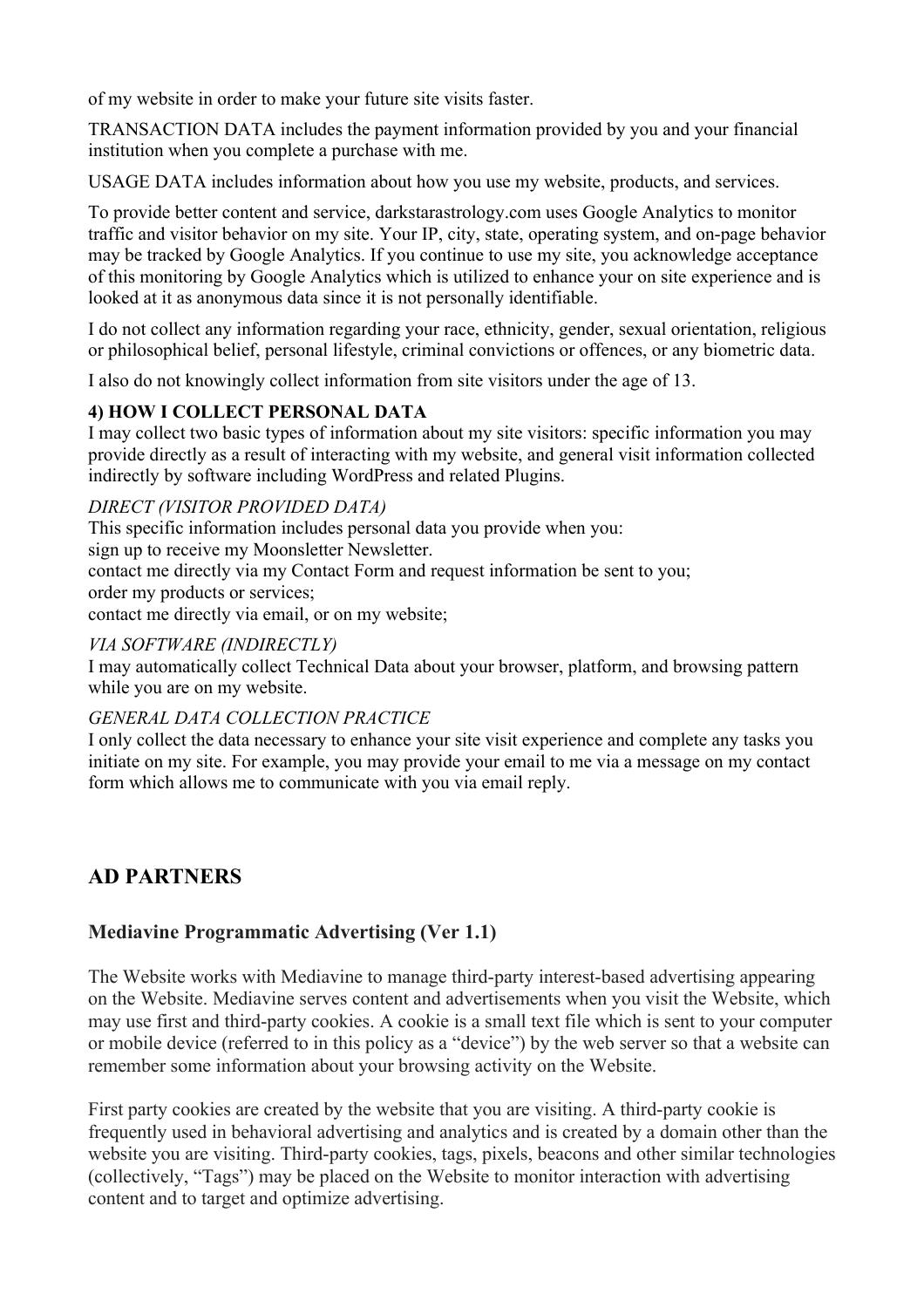of my website in order to make your future site visits faster.

TRANSACTION DATA includes the payment information provided by you and your financial institution when you complete a purchase with me.

USAGE DATA includes information about how you use my website, products, and services.

To provide better content and service, darkstarastrology.com uses Google Analytics to monitor traffic and visitor behavior on my site. Your IP, city, state, operating system, and on-page behavior may be tracked by Google Analytics. If you continue to use my site, you acknowledge acceptance of this monitoring by Google Analytics which is utilized to enhance your on site experience and is looked at it as anonymous data since it is not personally identifiable.

I do not collect any information regarding your race, ethnicity, gender, sexual orientation, religious or philosophical belief, personal lifestyle, criminal convictions or offences, or any biometric data.

I also do not knowingly collect information from site visitors under the age of 13.

#### **4) HOW I COLLECT PERSONAL DATA**

I may collect two basic types of information about my site visitors: specific information you may provide directly as a result of interacting with my website, and general visit information collected indirectly by software including WordPress and related Plugins.

#### *DIRECT (VISITOR PROVIDED DATA)*

This specific information includes personal data you provide when you: sign up to receive my Moonsletter Newsletter.

contact me directly via my Contact Form and request information be sent to you; order my products or services;

contact me directly via email, or on my website;

#### *VIA SOFTWARE (INDIRECTLY)*

I may automatically collect Technical Data about your browser, platform, and browsing pattern while you are on my website.

#### *GENERAL DATA COLLECTION PRACTICE*

I only collect the data necessary to enhance your site visit experience and complete any tasks you initiate on my site. For example, you may provide your email to me via a message on my contact form which allows me to communicate with you via email reply.

## **AD PARTNERS**

### **Mediavine Programmatic Advertising (Ver 1.1)**

The Website works with Mediavine to manage third-party interest-based advertising appearing on the Website. Mediavine serves content and advertisements when you visit the Website, which may use first and third-party cookies. A cookie is a small text file which is sent to your computer or mobile device (referred to in this policy as a "device") by the web server so that a website can remember some information about your browsing activity on the Website.

First party cookies are created by the website that you are visiting. A third-party cookie is frequently used in behavioral advertising and analytics and is created by a domain other than the website you are visiting. Third-party cookies, tags, pixels, beacons and other similar technologies (collectively, "Tags") may be placed on the Website to monitor interaction with advertising content and to target and optimize advertising.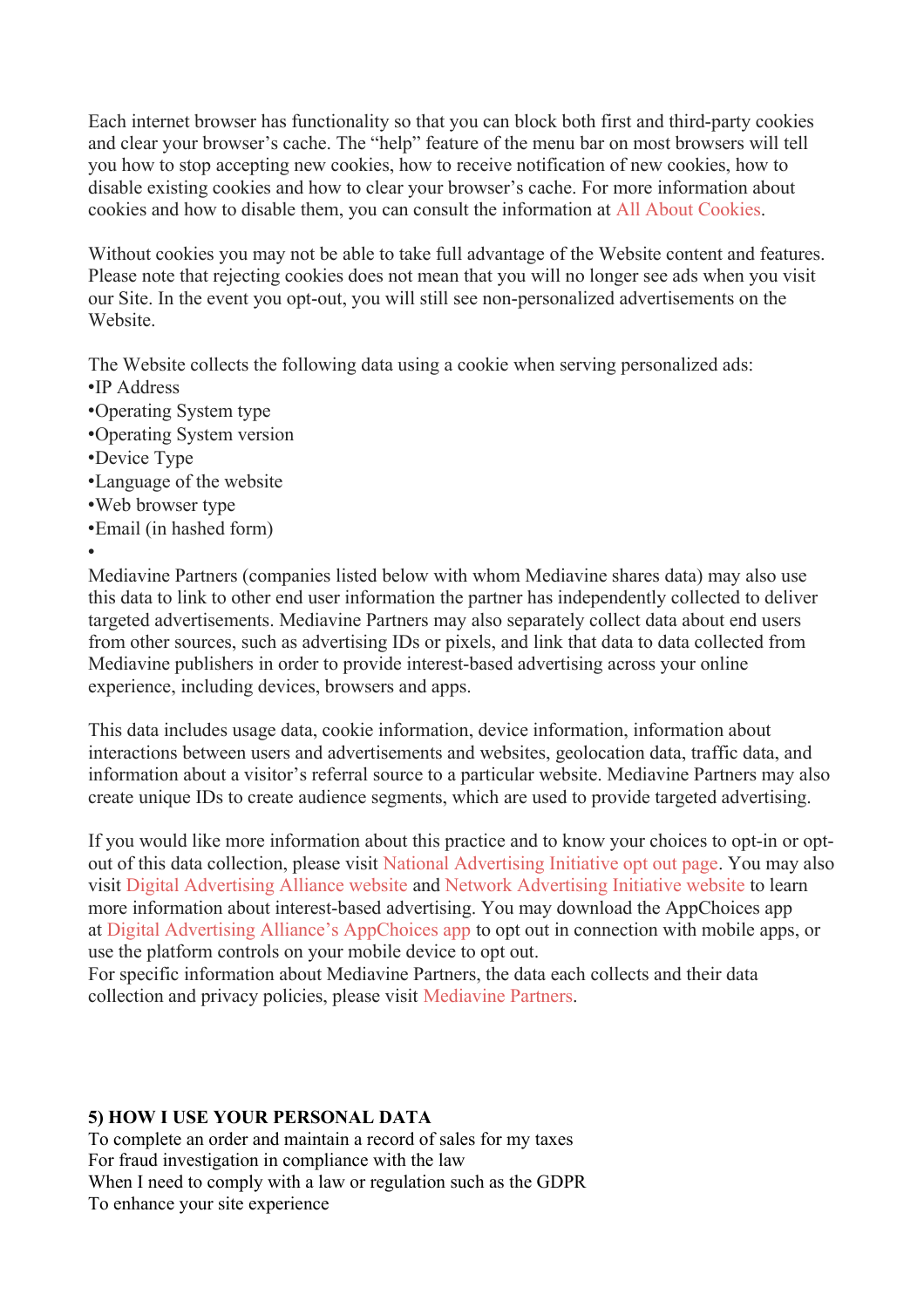Each internet browser has functionality so that you can block both first and third-party cookies and clear your browser's cache. The "help" feature of the menu bar on most browsers will tell you how to stop accepting new cookies, how to receive notification of new cookies, how to disable existing cookies and how to clear your browser's cache. For more information about cookies and how to disable them, you can consult the information at [All About Cookies.](https://www.allaboutcookies.org/manage-cookies/)

Without cookies you may not be able to take full advantage of the Website content and features. Please note that rejecting cookies does not mean that you will no longer see ads when you visit our Site. In the event you opt-out, you will still see non-personalized advertisements on the Website.

The Website collects the following data using a cookie when serving personalized ads:

- •IP Address
- •Operating System type
- •Operating System version
- •Device Type
- •Language of the website
- •Web browser type
- •Email (in hashed form)
- •

Mediavine Partners (companies listed below with whom Mediavine shares data) may also use this data to link to other end user information the partner has independently collected to deliver targeted advertisements. Mediavine Partners may also separately collect data about end users from other sources, such as advertising IDs or pixels, and link that data to data collected from Mediavine publishers in order to provide interest-based advertising across your online experience, including devices, browsers and apps.

This data includes usage data, cookie information, device information, information about interactions between users and advertisements and websites, geolocation data, traffic data, and information about a visitor's referral source to a particular website. Mediavine Partners may also create unique IDs to create audience segments, which are used to provide targeted advertising.

If you would like more information about this practice and to know your choices to opt-in or optout of this data collection, please visit [National Advertising Initiative opt out page.](https://thenai.org/opt-out/) You may also visit [Digital Advertising Alliance website](http://optout.aboutads.info/#/) and [Network Advertising Initiative website](http://optout.networkadvertising.org/#) to learn more information about interest-based advertising. You may download the AppChoices app at [Digital Advertising Alliance's AppChoices app](https://youradchoices.com/appchoices) to opt out in connection with mobile apps, or use the platform controls on your mobile device to opt out.

For specific information about Mediavine Partners, the data each collects and their data collection and privacy policies, please visit [Mediavine Partners.](https://www.mediavine.com/ad-partners/)

#### **5) HOW I USE YOUR PERSONAL DATA**

To complete an order and maintain a record of sales for my taxes For fraud investigation in compliance with the law When I need to comply with a law or regulation such as the GDPR To enhance your site experience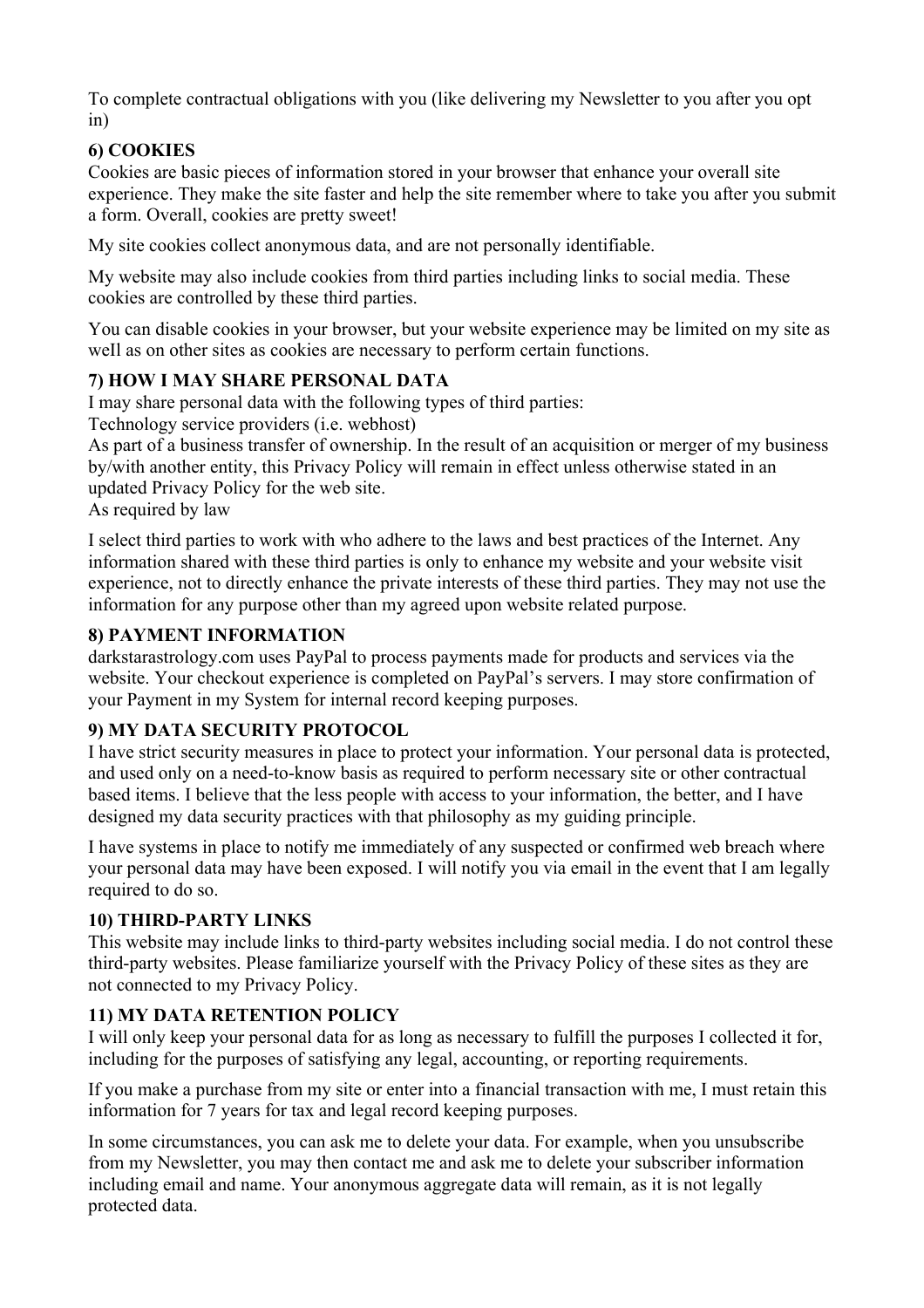To complete contractual obligations with you (like delivering my Newsletter to you after you opt in)

### **6) COOKIES**

Cookies are basic pieces of information stored in your browser that enhance your overall site experience. They make the site faster and help the site remember where to take you after you submit a form. Overall, cookies are pretty sweet!

My site cookies collect anonymous data, and are not personally identifiable.

My website may also include cookies from third parties including links to social media. These cookies are controlled by these third parties.

You can disable cookies in your browser, but your website experience may be limited on my site as weIl as on other sites as cookies are necessary to perform certain functions.

### **7) HOW I MAY SHARE PERSONAL DATA**

I may share personal data with the following types of third parties:

Technology service providers (i.e. webhost)

As part of a business transfer of ownership. In the result of an acquisition or merger of my business by/with another entity, this Privacy Policy will remain in effect unless otherwise stated in an updated Privacy Policy for the web site.

As required by law

I select third parties to work with who adhere to the laws and best practices of the Internet. Any information shared with these third parties is only to enhance my website and your website visit experience, not to directly enhance the private interests of these third parties. They may not use the information for any purpose other than my agreed upon website related purpose.

#### **8) PAYMENT INFORMATION**

darkstarastrology.com uses PayPal to process payments made for products and services via the website. Your checkout experience is completed on PayPal's servers. I may store confirmation of your Payment in my System for internal record keeping purposes.

#### **9) MY DATA SECURITY PROTOCOL**

I have strict security measures in place to protect your information. Your personal data is protected, and used only on a need-to-know basis as required to perform necessary site or other contractual based items. I believe that the less people with access to your information, the better, and I have designed my data security practices with that philosophy as my guiding principle.

I have systems in place to notify me immediately of any suspected or confirmed web breach where your personal data may have been exposed. I will notify you via email in the event that I am legally required to do so.

#### **10) THIRD-PARTY LINKS**

This website may include links to third-party websites including social media. I do not control these third-party websites. Please familiarize yourself with the Privacy Policy of these sites as they are not connected to my Privacy Policy.

#### **11) MY DATA RETENTION POLICY**

I will only keep your personal data for as long as necessary to fulfill the purposes I collected it for, including for the purposes of satisfying any legal, accounting, or reporting requirements.

If you make a purchase from my site or enter into a financial transaction with me, I must retain this information for 7 years for tax and legal record keeping purposes.

In some circumstances, you can ask me to delete your data. For example, when you unsubscribe from my Newsletter, you may then contact me and ask me to delete your subscriber information including email and name. Your anonymous aggregate data will remain, as it is not legally protected data.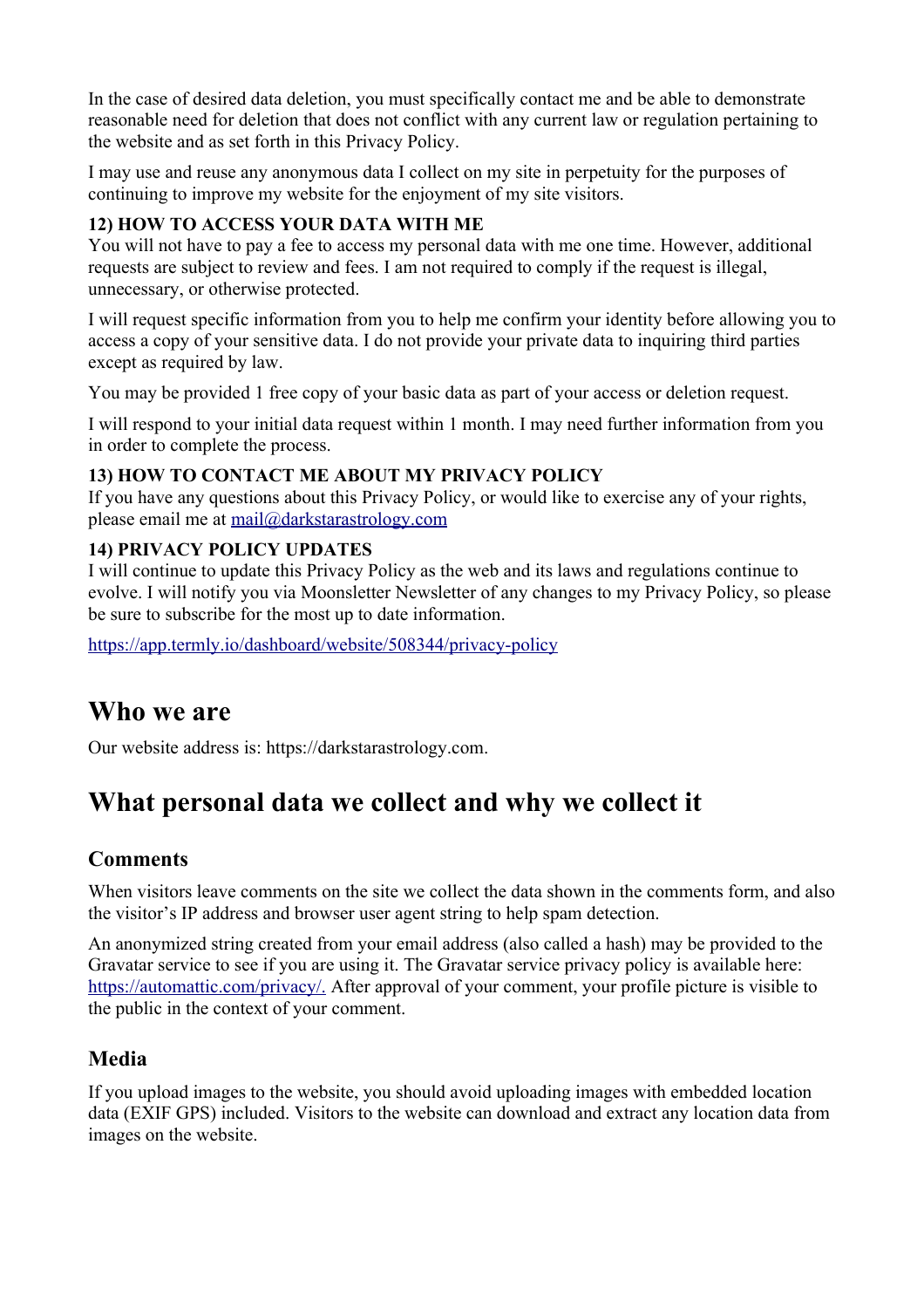In the case of desired data deletion, you must specifically contact me and be able to demonstrate reasonable need for deletion that does not conflict with any current law or regulation pertaining to the website and as set forth in this Privacy Policy.

I may use and reuse any anonymous data I collect on my site in perpetuity for the purposes of continuing to improve my website for the enjoyment of my site visitors.

#### **12) HOW TO ACCESS YOUR DATA WITH ME**

You will not have to pay a fee to access my personal data with me one time. However, additional requests are subject to review and fees. I am not required to comply if the request is illegal, unnecessary, or otherwise protected.

I will request specific information from you to help me confirm your identity before allowing you to access a copy of your sensitive data. I do not provide your private data to inquiring third parties except as required by law.

You may be provided 1 free copy of your basic data as part of your access or deletion request.

I will respond to your initial data request within 1 month. I may need further information from you in order to complete the process.

### **13) HOW TO CONTACT ME ABOUT MY PRIVACY POLICY**

If you have any questions about this Privacy Policy, or would like to exercise any of your rights, please email me at [mail@darkstarastrology.com](mailto:mail@darkstarastrology.com)

#### **14) PRIVACY POLICY UPDATES**

I will continue to update this Privacy Policy as the web and its laws and regulations continue to evolve. I will notify you via Moonsletter Newsletter of any changes to my Privacy Policy, so please be sure to subscribe for the most up to date information.

<https://app.termly.io/dashboard/website/508344/privacy-policy>

## **Who we are**

Our website address is: https://darkstarastrology.com.

# **What personal data we collect and why we collect it**

### **Comments**

When visitors leave comments on the site we collect the data shown in the comments form, and also the visitor's IP address and browser user agent string to help spam detection.

An anonymized string created from your email address (also called a hash) may be provided to the Gravatar service to see if you are using it. The Gravatar service privacy policy is available here: <https://automattic.com/privacy/.>After approval of your comment, your profile picture is visible to the public in the context of your comment.

### **Media**

If you upload images to the website, you should avoid uploading images with embedded location data (EXIF GPS) included. Visitors to the website can download and extract any location data from images on the website.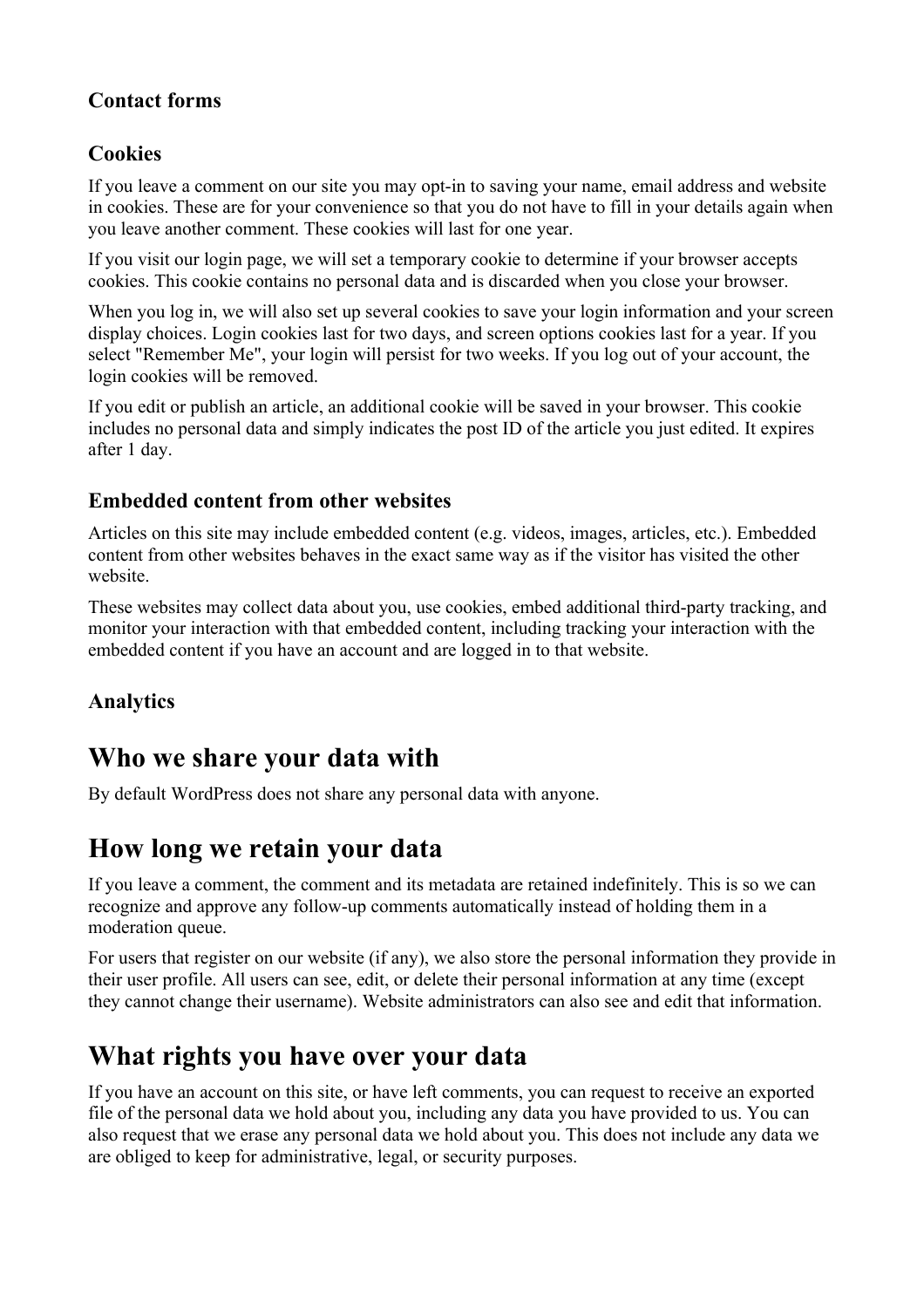### **Contact forms**

## **Cookies**

If you leave a comment on our site you may opt-in to saving your name, email address and website in cookies. These are for your convenience so that you do not have to fill in your details again when you leave another comment. These cookies will last for one year.

If you visit our login page, we will set a temporary cookie to determine if your browser accepts cookies. This cookie contains no personal data and is discarded when you close your browser.

When you log in, we will also set up several cookies to save your login information and your screen display choices. Login cookies last for two days, and screen options cookies last for a year. If you select "Remember Me", your login will persist for two weeks. If you log out of your account, the login cookies will be removed.

If you edit or publish an article, an additional cookie will be saved in your browser. This cookie includes no personal data and simply indicates the post ID of the article you just edited. It expires after 1 day.

### **Embedded content from other websites**

Articles on this site may include embedded content (e.g. videos, images, articles, etc.). Embedded content from other websites behaves in the exact same way as if the visitor has visited the other website.

These websites may collect data about you, use cookies, embed additional third-party tracking, and monitor your interaction with that embedded content, including tracking your interaction with the embedded content if you have an account and are logged in to that website.

## **Analytics**

# **Who we share your data with**

By default WordPress does not share any personal data with anyone.

## **How long we retain your data**

If you leave a comment, the comment and its metadata are retained indefinitely. This is so we can recognize and approve any follow-up comments automatically instead of holding them in a moderation queue.

For users that register on our website (if any), we also store the personal information they provide in their user profile. All users can see, edit, or delete their personal information at any time (except they cannot change their username). Website administrators can also see and edit that information.

# **What rights you have over your data**

If you have an account on this site, or have left comments, you can request to receive an exported file of the personal data we hold about you, including any data you have provided to us. You can also request that we erase any personal data we hold about you. This does not include any data we are obliged to keep for administrative, legal, or security purposes.